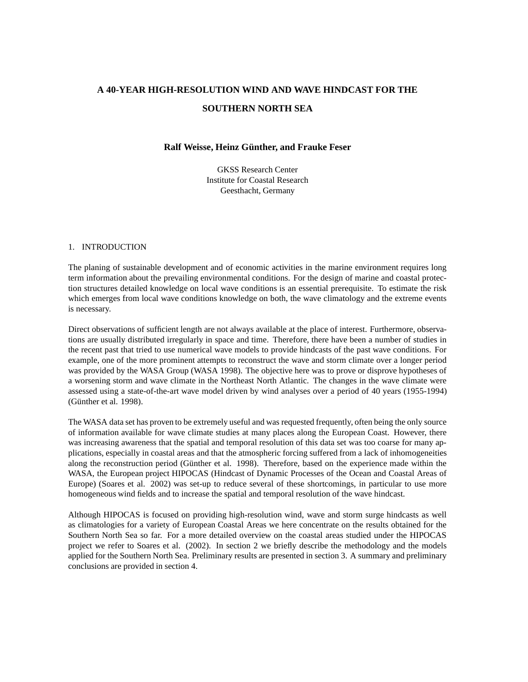# **A 40-YEAR HIGH-RESOLUTION WIND AND WAVE HINDCAST FOR THE SOUTHERN NORTH SEA**

# **Ralf Weisse, Heinz Gunther ¨ , and Frauke Feser**

GKSS Research Center Institute for Coastal Research Geesthacht, Germany

## 1. INTRODUCTION

The planing of sustainable development and of economic activities in the marine environment requires long term information about the prevailing environmental conditions. For the design of marine and coastal protection structures detailed knowledge on local wave conditions is an essential prerequisite. To estimate the risk which emerges from local wave conditions knowledge on both, the wave climatology and the extreme events is necessary.

Direct observations of sufficient length are not always available at the place of interest. Furthermore, observations are usually distributed irregularly in space and time. Therefore, there have been a number of studies in the recent past that tried to use numerical wave models to provide hindcasts of the past wave conditions. For example, one of the more prominent attempts to reconstruct the wave and storm climate over a longer period was provided by the WASA Group (WASA 1998). The objective here was to prove or disprove hypotheses of a worsening storm and wave climate in the Northeast North Atlantic. The changes in the wave climate were assessed using a state-of-the-art wave model driven by wind analyses over a period of 40 years (1955-1994) (Günther et al. 1998).

The WASA data set has proven to be extremely useful and was requested frequently, often being the only source of information available for wave climate studies at many places along the European Coast. However, there was increasing awareness that the spatial and temporal resolution of this data set was too coarse for many applications, especially in coastal areas and that the atmospheric forcing suffered from a lack of inhomogeneities along the reconstruction period (Günther et al. 1998). Therefore, based on the experience made within the WASA, the European project HIPOCAS (Hindcast of Dynamic Processes of the Ocean and Coastal Areas of Europe) (Soares et al. 2002) was set-up to reduce several of these shortcomings, in particular to use more homogeneous wind fields and to increase the spatial and temporal resolution of the wave hindcast.

Although HIPOCAS is focused on providing high-resolution wind, wave and storm surge hindcasts as well as climatologies for a variety of European Coastal Areas we here concentrate on the results obtained for the Southern North Sea so far. For a more detailed overview on the coastal areas studied under the HIPOCAS project we refer to Soares et al. (2002). In section 2 we briefly describe the methodology and the models applied for the Southern North Sea. Preliminary results are presented in section 3. A summary and preliminary conclusions are provided in section 4.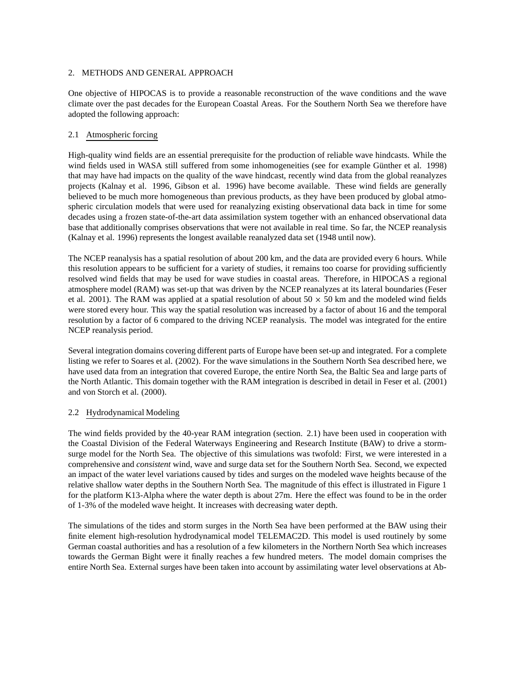# 2. METHODS AND GENERAL APPROACH

One objective of HIPOCAS is to provide a reasonable reconstruction of the wave conditions and the wave climate over the past decades for the European Coastal Areas. For the Southern North Sea we therefore have adopted the following approach:

# 2.1 Atmospheric forcing

High-quality wind fields are an essential prerequisite for the production of reliable wave hindcasts. While the wind fields used in WASA still suffered from some inhomogeneities (see for example Günther et al. 1998) that may have had impacts on the quality of the wave hindcast, recently wind data from the global reanalyzes projects (Kalnay et al. 1996, Gibson et al. 1996) have become available. These wind fields are generally believed to be much more homogeneous than previous products, as they have been produced by global atmospheric circulation models that were used for reanalyzing existing observational data back in time for some decades using a frozen state-of-the-art data assimilation system together with an enhanced observational data base that additionally comprises observations that were not available in real time. So far, the NCEP reanalysis (Kalnay et al. 1996) represents the longest available reanalyzed data set (1948 until now).

The NCEP reanalysis has a spatial resolution of about 200 km, and the data are provided every 6 hours. While this resolution appears to be sufficient for a variety of studies, it remains too coarse for providing sufficiently resolved wind fields that may be used for wave studies in coastal areas. Therefore, in HIPOCAS a regional atmosphere model (RAM) was set-up that was driven by the NCEP reanalyzes at its lateral boundaries (Feser et al. 2001). The RAM was applied at a spatial resolution of about  $50 \times 50$  km and the modeled wind fields were stored every hour. This way the spatial resolution was increased by a factor of about 16 and the temporal resolution by a factor of 6 compared to the driving NCEP reanalysis. The model was integrated for the entire NCEP reanalysis period.

Several integration domains covering different parts of Europe have been set-up and integrated. For a complete listing we refer to Soares et al. (2002). For the wave simulations in the Southern North Sea described here, we have used data from an integration that covered Europe, the entire North Sea, the Baltic Sea and large parts of the North Atlantic. This domain together with the RAM integration is described in detail in Feser et al. (2001) and von Storch et al. (2000).

## 2.2 Hydrodynamical Modeling

The wind fields provided by the 40-year RAM integration (section. 2.1) have been used in cooperation with the Coastal Division of the Federal Waterways Engineering and Research Institute (BAW) to drive a stormsurge model for the North Sea. The objective of this simulations was twofold: First, we were interested in a comprehensive and *consistent* wind, wave and surge data set for the Southern North Sea. Second, we expected an impact of the water level variations caused by tides and surges on the modeled wave heights because of the relative shallow water depths in the Southern North Sea. The magnitude of this effect is illustrated in Figure 1 for the platform K13-Alpha where the water depth is about 27m. Here the effect was found to be in the order of 1-3% of the modeled wave height. It increases with decreasing water depth.

The simulations of the tides and storm surges in the North Sea have been performed at the BAW using their finite element high-resolution hydrodynamical model TELEMAC2D. This model is used routinely by some German coastal authorities and has a resolution of a few kilometers in the Northern North Sea which increases towards the German Bight were it finally reaches a few hundred meters. The model domain comprises the entire North Sea. External surges have been taken into account by assimilating water level observations at Ab-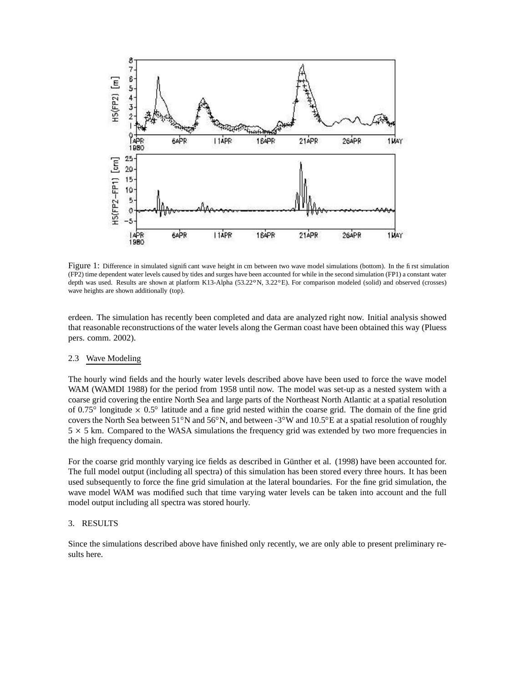

Figure 1: Difference in simulated significant wave height in cm between two wave model simulations (bottom). In the first simulation (FP2) time dependent water levels caused by tides and surges have been accounted for while in the second simulation (FP1) a constant water depth was used. Results are shown at platform K13-Alpha (53.22°N, 3.22°E). For comparison modeled (solid) and observed (crosses) wave heights are shown additionally (top).

erdeen. The simulation has recently been completed and data are analyzed right now. Initial analysis showed that reasonable reconstructions of the water levels along the German coast have been obtained this way (Pluess pers. comm. 2002).

#### 2.3 Wave Modeling

The hourly wind fields and the hourly water levels described above have been used to force the wave model WAM (WAMDI 1988) for the period from 1958 until now. The model was set-up as a nested system with a coarse grid covering the entire North Sea and large parts of the Northeast North Atlantic at a spatial resolution of 0.75 $\degree$  longitude  $\times$  0.5 $\degree$  latitude and a fine grid nested within the coarse grid. The domain of the fine grid covers the North Sea between 51 $\degree$ N and 56 $\degree$ N, and between -3 $\degree$ W and 10.5 $\degree$ E at a spatial resolution of roughly  $5 \times 5$  km. Compared to the WASA simulations the frequency grid was extended by two more frequencies in the high frequency domain.

For the coarse grid monthly varying ice fields as described in Günther et al. (1998) have been accounted for. The full model output (including all spectra) of this simulation has been stored every three hours. It has been used subsequently to force the fine grid simulation at the lateral boundaries. For the fine grid simulation, the wave model WAM was modified such that time varying water levels can be taken into account and the full model output including all spectra was stored hourly.

#### 3. RESULTS

Since the simulations described above have finished only recently, we are only able to present preliminary results here.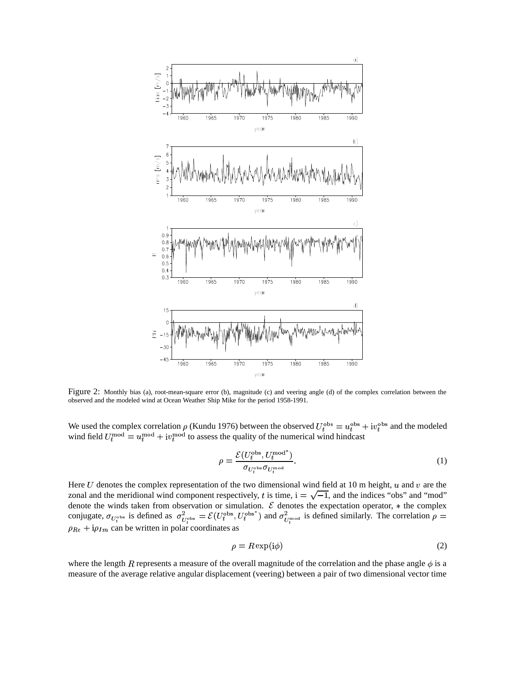

Figure 2: Monthly bias (a), root-mean-square error (b), magnitude (c) and veering angle (d) of the complex correlation between the observed and the modeled wind at Ocean Weather Ship Mike for the period 1958-1991.

We used the complex correlation  $\rho$  (Kundu 1976) between the observed  $U_t^{\text{obs}} = u_t^{\text{obs}} + i v_t^{\text{obs}}$  and the modeled wind field  $U_t^{\text{mod}} = u_t^{\text{mod}} + \mathrm{i}v_t^{\text{mod}}$  to assess the quality of the numerical wind hindcast

$$
\rho = \frac{\mathcal{E}(U_t^{\text{obs}}, U_t^{\text{mod}^*})}{\sigma_{U^{\text{obs}}} \sigma_{U^{\text{mod}}}}.
$$
\n(1)

Here U denotes the complex representation of the two dimensional wind field at 10 m height,  $u$  and  $v$  are the zonal and the meridional wind component respectively, t is time,  $i = \sqrt{-1}$ , and the indices "obs" and "mod" denote the winds taken from observation or simulation.  $\mathcal E$  denotes the expectation operator,  $*$  the complex conjugate,  $\sigma_{U_s^{\text{obs}}}$  is defined as  $\sigma_{U_s^{\text{obs}}}^2 = \mathcal{E}(U_t^{\text{obs}}, U_t^{\text{obs}})$  and  $\sigma_{U_s^{\text{mod}}}^2$  is defined similarly. The correlation  $\rho =$  $\rho_{Re} + i \rho_{Im}$  can be written in polar coordinates as

$$
\rho = R \exp(i\phi) \tag{2}
$$

where the length R represents a measure of the overall magnitude of the correlation and the phase angle  $\phi$  is a measure of the average relative angular displacement (veering) between a pair of two dimensional vector time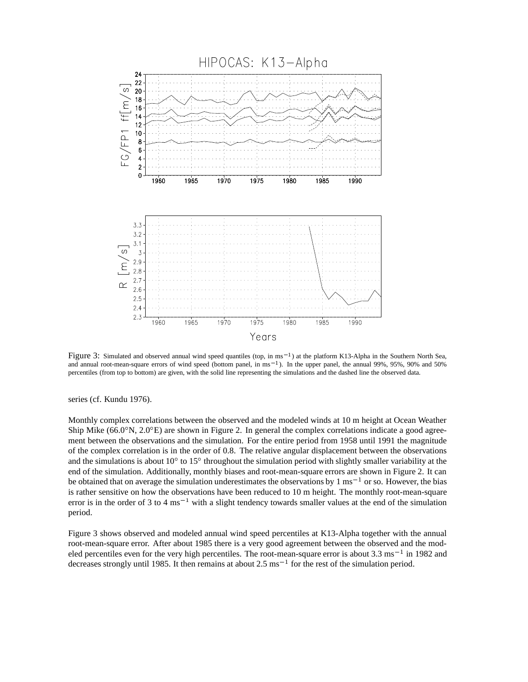

Figure 3: Simulated and observed annual wind speed quantiles (top, in  $ms^{-1}$ ) at the platform K13-Alpha in the Southern North Sea, and annual root-mean-square errors of wind speed (bottom panel, in  $ms^{-1}$ ). In the upper panel, the annual 99%, 95%, 90% and 50% percentiles (from top to bottom) are given, with the solid line representing the simulations and the dashed line the observed data.

series (cf. Kundu 1976).

Monthly complex correlations between the observed and the modeled winds at 10 m height at Ocean Weather Ship Mike (66.0°N, 2.0°E) are shown in Figure 2. In general the complex correlations indicate a good agreement between the observations and the simulation. For the entire period from 1958 until 1991 the magnitude of the complex correlation is in the order of 0.8. The relative angular displacement between the observations and the simulations is about  $10^{\circ}$  to  $15^{\circ}$  throughout the simulation period with slightly smaller variability at the end of the simulation. Additionally, monthly biases and root-mean-square errors are shown in Figure 2. It can be obtained that on average the simulation underestimates the observations by  $1 \text{ ms}^{-1}$  or so. However, the bias is rather sensitive on how the observations have been reduced to 10 m height. The monthly root-mean-square error is in the order of 3 to 4 ms<sup> $-1$ </sup> with a slight tendency towards smaller values at the end of the simulation period.

Figure 3 shows observed and modeled annual wind speed percentiles at K13-Alpha together with the annual root-mean-square error. After about 1985 there is a very good agreement between the observed and the modeled percentiles even for the very high percentiles. The root-mean-square error is about  $3.3 \text{ ms}^{-1}$  in 1982 and decreases strongly until 1985. It then remains at about 2.5  $\text{ms}^{-1}$  for the rest of the simulation period.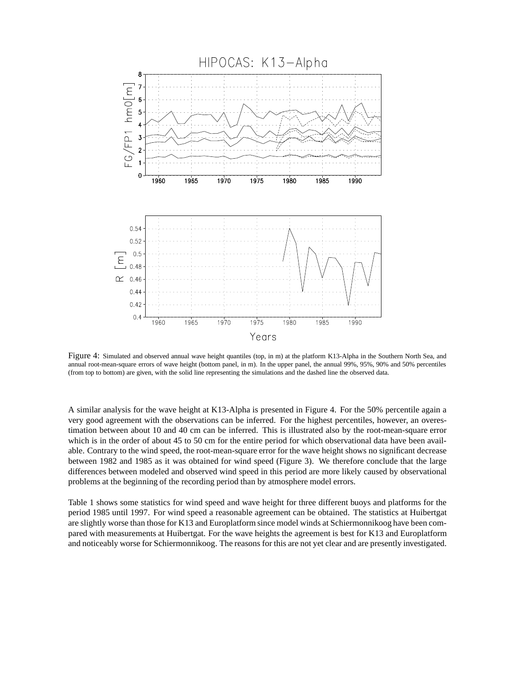

Figure 4: Simulated and observed annual wave height quantiles (top, in m) at the platform K13-Alpha in the Southern North Sea, and annual root-mean-square errors of wave height (bottom panel, in m). In the upper panel, the annual 99%, 95%, 90% and 50% percentiles (from top to bottom) are given, with the solid line representing the simulations and the dashed line the observed data.

A similar analysis for the wave height at K13-Alpha is presented in Figure 4. For the 50% percentile again a very good agreement with the observations can be inferred. For the highest percentiles, however, an overestimation between about 10 and 40 cm can be inferred. This is illustrated also by the root-mean-square error which is in the order of about 45 to 50 cm for the entire period for which observational data have been available. Contrary to the wind speed, the root-mean-square error for the wave height shows no significant decrease between 1982 and 1985 as it was obtained for wind speed (Figure 3). We therefore conclude that the large differences between modeled and observed wind speed in this period are more likely caused by observational problems at the beginning of the recording period than by atmosphere model errors.

Table 1 shows some statistics for wind speed and wave height for three different buoys and platforms for the period 1985 until 1997. For wind speed a reasonable agreement can be obtained. The statistics at Huibertgat are slightly worse than those for K13 and Europlatform since model winds at Schiermonnikoog have been compared with measurements at Huibertgat. For the wave heights the agreement is best for K13 and Europlatform and noticeably worse for Schiermonnikoog. The reasons for this are not yet clear and are presently investigated.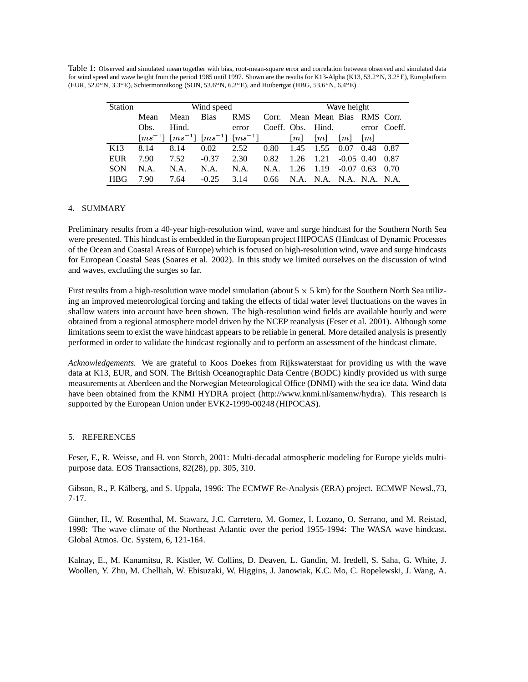Table 1: Observed and simulated mean together with bias, root-mean-square error and correlation between observed and simulated data for wind speed and wave height from the period 1985 until 1997. Shown are the results for K13-Alpha (K13, 53.2 °N, 3.2 °E), Europlatform (EUR, 52.0° N, 3.3°E), Schiermonnikoog (SON, 53.6° N, 6.2° E), and Huibertgat (HBG, 53.6° N, 6.4° E)

| <b>Station</b> | Wind speed |       |                                                 |            |                                | Wave height |                         |              |           |              |
|----------------|------------|-------|-------------------------------------------------|------------|--------------------------------|-------------|-------------------------|--------------|-----------|--------------|
|                | Mean       | Mean  | Bias                                            | <b>RMS</b> | Corr. Mean Mean Bias RMS Corr. |             |                         |              |           |              |
|                | Obs.       | Hind. |                                                 | error      | Coeff. Obs. Hind.              |             |                         |              |           | error Coeff. |
|                |            |       | $[ms^{-1}]$ $[ms^{-1}]$ $[ms^{-1}]$ $[ms^{-1}]$ |            |                                |             | $[m]$ $[m]$ $[m]$ $[m]$ |              |           |              |
| K13            | 8.14       | 8.14  | 0.02                                            | 2.52       | 0.80 1.45 1.55 0.07            |             |                         |              | 0.48 0.87 |              |
| EUR            | 7.90       | 7.52  | $-0.37$                                         | 2.30       | 0.82                           | $-1.26$     | $1.21 - 0.05 0.40$      |              |           | 0.87         |
| <b>SON</b>     | N.A.       | N.A.  | N.A.                                            | N.A.       | $N.A.$ 1.26                    |             | 1.19                    | $-0.07$ 0.63 |           | - 0.70       |
| <b>HBG</b>     | 7.90       | 7.64  | $-0.25$                                         | 3.14       | 0.66                           | N.A.        | N.A. N.A. N.A. N.A.     |              |           |              |

## 4. SUMMARY

Preliminary results from a 40-year high-resolution wind, wave and surge hindcast for the Southern North Sea were presented. This hindcast is embedded in the European project HIPOCAS (Hindcast of Dynamic Processes of the Ocean and Coastal Areas of Europe) which is focused on high-resolution wind, wave and surge hindcasts for European Coastal Seas (Soares et al. 2002). In this study we limited ourselves on the discussion of wind and waves, excluding the surges so far.

First results from a high-resolution wave model simulation (about  $5 \times 5$  km) for the Southern North Sea utilizing an improved meteorological forcing and taking the effects of tidal water level fluctuations on the waves in shallow waters into account have been shown. The high-resolution wind fields are available hourly and were obtained from a regional atmosphere model driven by the NCEP reanalysis (Feser et al. 2001). Although some limitations seem to exist the wave hindcast appears to be reliable in general. More detailed analysis is presently performed in order to validate the hindcast regionally and to perform an assessment of the hindcast climate.

*Acknowledgements.* We are grateful to Koos Doekes from Rijkswaterstaat for providing us with the wave data at K13, EUR, and SON. The British Oceanographic Data Centre (BODC) kindly provided us with surge measurements at Aberdeen and the Norwegian Meteorological Office (DNMI) with the sea ice data. Wind data have been obtained from the KNMI HYDRA project (http://www.knmi.nl/samenw/hydra). This research is supported by the European Union under EVK2-1999-00248 (HIPOCAS).

## 5. REFERENCES

Feser, F., R. Weisse, and H. von Storch, 2001: Multi-decadal atmospheric modeling for Europe yields multipurpose data. EOS Transactions, 82(28), pp. 305, 310.

Gibson, R., P. Kålberg, and S. Uppala, 1996: The ECMWF Re-Analysis (ERA) project. ECMWF Newsl.,73, 7-17.

Günther, H., W. Rosenthal, M. Stawarz, J.C. Carretero, M. Gomez, I. Lozano, O. Serrano, and M. Reistad, 1998: The wave climate of the Northeast Atlantic over the period 1955-1994: The WASA wave hindcast. Global Atmos. Oc. System, 6, 121-164.

Kalnay, E., M. Kanamitsu, R. Kistler, W. Collins, D. Deaven, L. Gandin, M. Iredell, S. Saha, G. White, J. Woollen, Y. Zhu, M. Chelliah, W. Ebisuzaki, W. Higgins, J. Janowiak, K.C. Mo, C. Ropelewski, J. Wang, A.